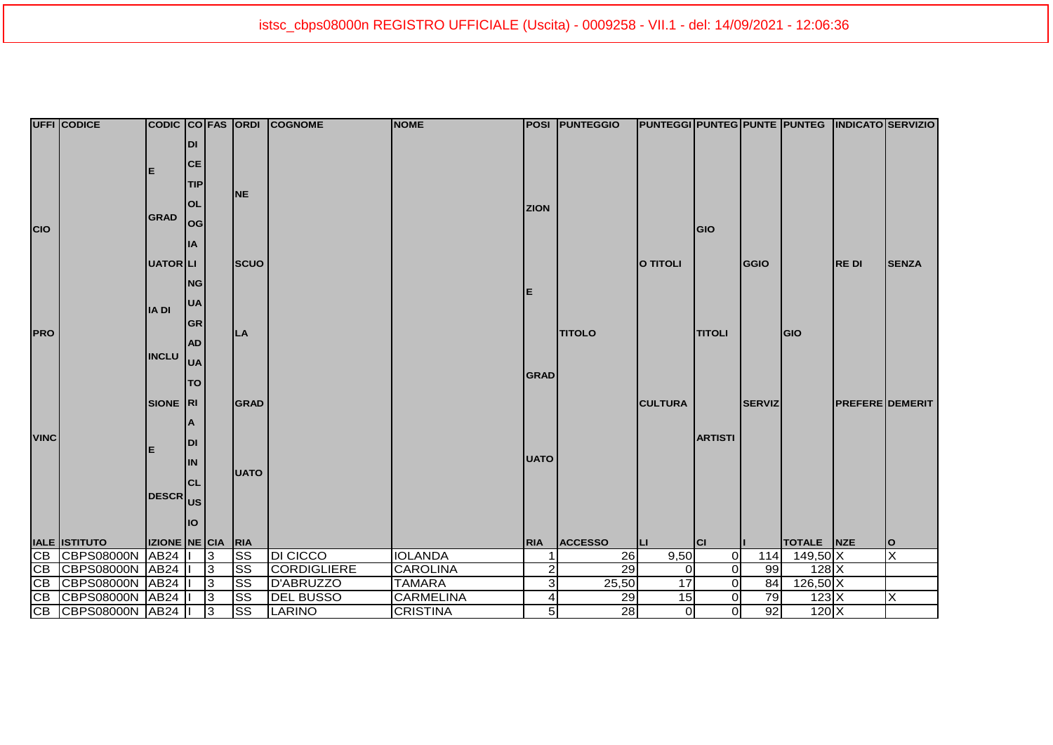|             | <b>UFFI CODICE</b>   |                             |            |                |                        | CODIC CO FAS ORDI COGNOME | <b>NOME</b>      |                | <b>POSI PUNTEGGIO</b> | <b>PUNTEGGI PUNTEG PUNTE PUNTEG INDICATO SERVIZIO</b> |                |               |                 |                        |              |
|-------------|----------------------|-----------------------------|------------|----------------|------------------------|---------------------------|------------------|----------------|-----------------------|-------------------------------------------------------|----------------|---------------|-----------------|------------------------|--------------|
|             |                      |                             | <b>DI</b>  |                |                        |                           |                  |                |                       |                                                       |                |               |                 |                        |              |
|             |                      |                             | <b>CE</b>  |                |                        |                           |                  |                |                       |                                                       |                |               |                 |                        |              |
|             |                      | Е                           |            |                |                        |                           |                  |                |                       |                                                       |                |               |                 |                        |              |
|             |                      |                             | <b>TIP</b> |                | <b>NE</b>              |                           |                  |                |                       |                                                       |                |               |                 |                        |              |
|             |                      |                             | <b>OL</b>  |                |                        |                           |                  | <b>ZION</b>    |                       |                                                       |                |               |                 |                        |              |
| <b>CIO</b>  |                      | <b>GRAD</b>                 | log        |                |                        |                           |                  |                |                       |                                                       | <b>GIO</b>     |               |                 |                        |              |
|             |                      |                             | <b>IA</b>  |                |                        |                           |                  |                |                       |                                                       |                |               |                 |                        |              |
|             |                      |                             |            |                |                        |                           |                  |                |                       |                                                       |                |               |                 |                        |              |
|             |                      | <b>UATOR</b> LI             |            |                | <b>SCUO</b>            |                           |                  |                |                       | O TITOLI                                              |                | <b>GGIO</b>   |                 | <b>REDI</b>            | <b>SENZA</b> |
|             |                      |                             | <b>NG</b>  |                |                        |                           |                  | E              |                       |                                                       |                |               |                 |                        |              |
|             |                      |                             | <b>UA</b>  |                |                        |                           |                  |                |                       |                                                       |                |               |                 |                        |              |
|             |                      | <b>IADI</b>                 | <b>GR</b>  |                |                        |                           |                  |                |                       |                                                       |                |               |                 |                        |              |
| <b>PRO</b>  |                      |                             |            |                | <b>LA</b>              |                           |                  |                | <b>TITOLO</b>         |                                                       | <b>TITOLI</b>  |               | <b>GIO</b>      |                        |              |
|             | <b>INCLU</b>         | <b>AD</b>                   |            |                |                        |                           |                  |                |                       |                                                       |                |               |                 |                        |              |
|             |                      |                             | <b>UA</b>  |                |                        |                           |                  |                |                       |                                                       |                |               |                 |                        |              |
|             |                      |                             | <b>TO</b>  |                |                        |                           |                  | <b>GRAD</b>    |                       |                                                       |                |               |                 |                        |              |
|             |                      | SIONE RI                    |            |                | <b>GRAD</b>            |                           |                  |                |                       | <b>CULTURA</b>                                        |                | <b>SERVIZ</b> |                 | <b>PREFERE DEMERIT</b> |              |
|             |                      |                             |            |                |                        |                           |                  |                |                       |                                                       |                |               |                 |                        |              |
| <b>VINC</b> |                      | <b>DI</b><br>E<br><b>IN</b> | ΙA         |                |                        |                           |                  |                |                       |                                                       | <b>ARTISTI</b> |               |                 |                        |              |
|             |                      |                             |            |                |                        |                           |                  |                |                       |                                                       |                |               |                 |                        |              |
|             |                      |                             |            |                |                        | <b>UATO</b>               |                  |                |                       |                                                       |                |               |                 |                        |              |
|             |                      |                             | <b>CL</b>  |                | <b>UATO</b>            |                           |                  |                |                       |                                                       |                |               |                 |                        |              |
|             |                      | DESCR US                    |            |                |                        |                           |                  |                |                       |                                                       |                |               |                 |                        |              |
|             |                      |                             |            |                |                        |                           |                  |                |                       |                                                       |                |               |                 |                        |              |
|             |                      |                             | llo        |                |                        |                           |                  |                |                       |                                                       |                |               |                 |                        |              |
|             | <b>IALE ISTITUTO</b> | <b>IZIONE NE CIA</b>        |            |                | RIA                    |                           |                  | <b>RIA</b>     | <b>ACCESSO</b>        | IЦ                                                    | <b>ICI</b>     |               | TOTALE NZE      |                        | lo           |
|             | CB CBPS08000N        | AB24                        |            | 3              | $\overline{\text{SS}}$ | <b>DI CICCO</b>           | <b>IOLANDA</b>   |                | 26                    | 9,50                                                  | $\overline{0}$ | 114           | $149,50 \times$ |                        | Ιx           |
|             | CB CBPS08000N        | AB24                        |            | 3              | <b>SS</b>              | <b>CORDIGLIERE</b>        | <b>CAROLINA</b>  | 2              | 29                    | $\overline{0}$                                        | $\overline{0}$ | 99            | 128 X           |                        |              |
|             | CB CBPS08000N        | AB <sub>24</sub>            |            | 3              | <b>SS</b>              | D'ABRUZZO                 | <b>TAMARA</b>    | 3              | 25,50                 | 17                                                    | $\overline{O}$ | 84            | $126,50$ X      |                        |              |
|             | CB CBPS08000N        | AB <sub>24</sub>            |            | 3              | <b>SS</b>              | <b>DEL BUSSO</b>          | <b>CARMELINA</b> | 4              | 29                    | 15                                                    | $\overline{0}$ | 79            | 123X            |                        | Ιx           |
|             | CB CBPS08000N AB24   |                             |            | $\overline{3}$ | <b>SS</b>              | LARINO                    | <b>CRISTINA</b>  | 5 <sub>l</sub> | $\overline{28}$       | $\overline{O}$                                        | $\overline{0}$ | 92            | $120 \times$    |                        |              |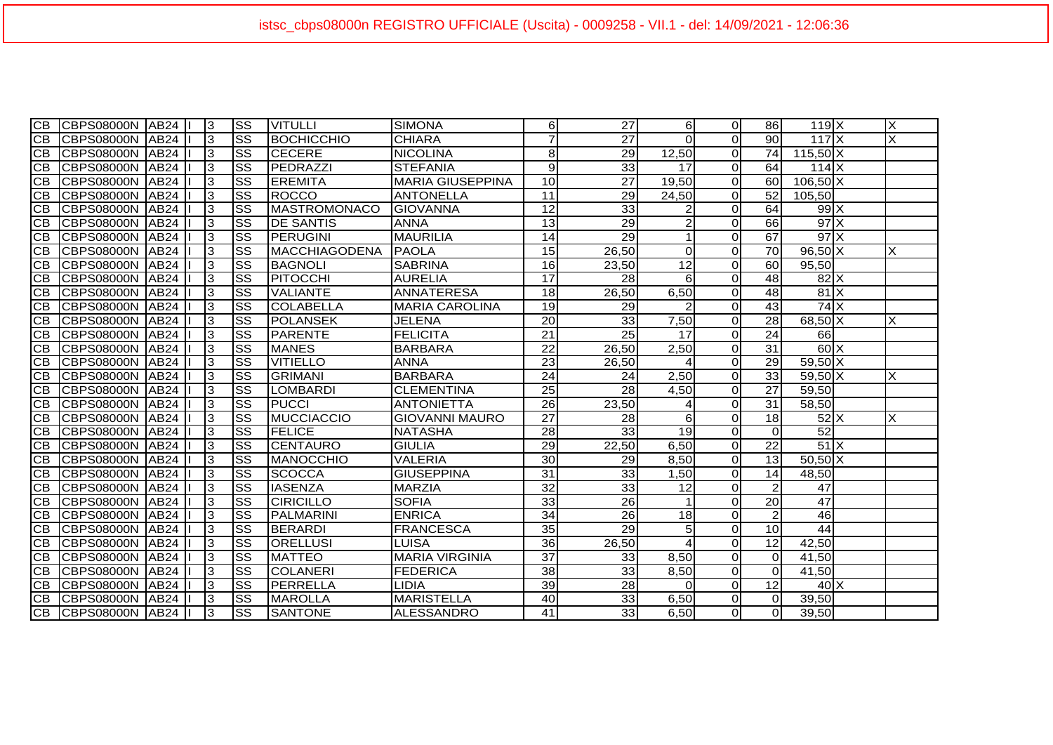| IСB             | ICBPS08000N IAB24 II        | IЗ             | SS                     | <b>VITULLI</b>    | <b>SIMONA</b>           | 6               | 27              | 6               | $\Omega$       | 86              | $119$ $X$         | X  |
|-----------------|-----------------------------|----------------|------------------------|-------------------|-------------------------|-----------------|-----------------|-----------------|----------------|-----------------|-------------------|----|
| <b>CB</b>       | <b>ICBPS08000N JAB24 II</b> | 3              | $\overline{\text{ss}}$ | <b>BOCHICCHIO</b> | <b>CHIARA</b>           |                 | $\overline{27}$ | $\Omega$        | Οl             | 90 <sup>1</sup> | 117X              |    |
| CВ              | ICBPS08000N IAB24 I         | 3              | $\overline{\text{ss}}$ | <b>CECERE</b>     | <b>NICOLINA</b>         | 8               | $\overline{29}$ | 12,50           | $\overline{0}$ | 74              | $115,50$ X        |    |
| CВ              | CBPS08000N AB24             | 3              | SS                     | PEDRAZZI          | <b>STEFANIA</b>         | 9               | 33              | 17              | Οl             | 64              | $114$ $X$         |    |
| <b>CB</b>       | CBPS08000N AB24             | 3              | SS                     | <b>EREMITA</b>    | <b>MARIA GIUSEPPINA</b> | 10              | 27              | 19,50           | Οl             | 60I             | $106,50$ X        |    |
| <b>CB</b>       | CBPS08000N AB24             | 3              | $\overline{\text{ss}}$ | <b>ROCCO</b>      | <b>ANTONELLA</b>        | 11              | 29              | 24,50           | Οl             | 52              | 105,50            |    |
| <b>CB</b>       | CBPS08000N   AB24           | 3              | $\overline{\text{ss}}$ | MASTROMONACO      | GIOVANNA                | 12              | 33              | 2               | Οl             | 64              | $99 \times$       |    |
| <b>CB</b>       | CBPS08000N AB24             | 3              | $\overline{\text{ss}}$ | <b>DE SANTIS</b>  | <b>ANNA</b>             | 13              | $\overline{29}$ | $\overline{2}$  | οl             | 66              | $97 \times$       |    |
| ICB             | CBPS08000N   AB24           | 3              | $\overline{\text{ss}}$ | <b>PERUGINI</b>   | <b>MAURILIA</b>         | 14              | 29              |                 | Ωl             | 67              | $97 \times$       |    |
| <b>CB</b>       | CBPS08000N AB24             | $\overline{3}$ | $\overline{\text{ss}}$ | MACCHIAGODENA     | PAOLA                   | 15              | 26,50           | $\Omega$        | $\overline{O}$ | $\overline{70}$ | $96,50 \times$    |    |
| <b>CB</b>       | ICBPS08000N AB24            | l3             | $\overline{\text{ss}}$ | <b>BAGNOLI</b>    | <b>SABRINA</b>          | 16              | 23.50           | $\overline{12}$ | $\Omega$       | 60              | 95,50             |    |
| <b>CB</b>       | CBPS08000N AB24             | Iз             | $\overline{\text{ss}}$ | <b>PITOCCHI</b>   | <b>AURELIA</b>          | $\overline{17}$ | 28              | 6               | Οl             | 48              | 82X               |    |
| CB              | CBPS08000N AB24             | 3              | $\overline{\text{ss}}$ | <b>VALIANTE</b>   | <b>ANNATERESA</b>       | 18              | 26,50           | 6,50            | οl             | 48              | 81X               |    |
| <b>CB</b>       | CBPS08000N AB24             | 13             | $\overline{\text{ss}}$ | <b>COLABELLA</b>  | <b>MARIA CAROLINA</b>   | 19              | 29              |                 | $\Omega$       | 43              | $74$ $X$          |    |
| CB              | CBPS08000N   AB24           | 3              | $\overline{\text{ss}}$ | <b>POLANSEK</b>   | <b>JELENA</b>           | $\overline{20}$ | 33              | 7,50            | $\Omega$       | 28              | $68,50$ X         | X  |
| CВ              | CBPS08000N AB24             | 3              | $\overline{\text{ss}}$ | <b>PARENTE</b>    | <b>FELICITA</b>         | $\overline{21}$ | 25              | 17              | $\Omega$       | 24              | 66                |    |
| CВ              | CBPS08000N AB24             | Ι3             | $\overline{\text{ss}}$ | <b>MANES</b>      | <b>BARBARA</b>          | $\overline{22}$ | 26,50           | 2,50            | $\Omega$       | $\overline{31}$ | $\overline{60}$ X |    |
| CВ              | CBPS08000N AB24             | 3              | $\overline{\text{ss}}$ | <b>VITIELLO</b>   | <b>ANNA</b>             | $\overline{23}$ | 26,50           | ⊿               | Οl             | 29              | $59,50$ X         |    |
| CВ              | CBPS08000N   AB24           | 3              | SS                     | <b>GRIMANI</b>    | <b>BARBARA</b>          | 24              | 24              | 2,50            | Οl             | 33 <sup>1</sup> | 59.50 X           | X. |
| <b>CB</b>       | CBPS08000N AB24             | 3              | $\overline{\text{ss}}$ | <b>LOMBARDI</b>   | <b>CLEMENTINA</b>       | 25              | 28              | 4,50            | Οl             | 27              | 59,50             |    |
| <b>CB</b>       | CBPS08000N   AB24           | Iз             | $\overline{\text{ss}}$ | <b>PUCCI</b>      | <b>ANTONIETTA</b>       | $\overline{26}$ | 23,50           | 4               | Οl             | 31              | 58,50             |    |
| <b>CB</b>       | CBPS08000N   AB24           | Ιз             | SS                     | MUCCIACCIO        | <b>GIOVANNI MAURO</b>   | 27              | 28              | $6 \mid$        | Οl             | 18              | $52\text{X}$      | X  |
| <b>CB</b>       | CBPS08000N   AB24           | $\overline{3}$ | $\overline{\text{ss}}$ | <b>FELICE</b>     | <b>NATASHA</b>          | $\overline{28}$ | 33              | 19              | 0              | ΩI              | 52                |    |
| ICB.            | ICBPS08000N IAB24 I         | $\overline{3}$ | $\overline{\text{ss}}$ | ICENTAURO         | <b>GIULIA</b>           | 29              | 22,50           | 6,50            | $\overline{0}$ | 22              | 51X               |    |
| <b>CB</b>       | CBPS08000N AB24             | $\overline{3}$ | $\overline{\text{ss}}$ | MANOCCHIO         | <b>VALERIA</b>          | $\overline{30}$ | 29              | 8,50            | $\overline{O}$ | 13              | $50,50$ X         |    |
| <b>CB</b>       | CBPS08000N AB24             | $\overline{3}$ | $\overline{\text{ss}}$ | <b>SCOCCA</b>     | <b>GIUSEPPINA</b>       | $\overline{31}$ | 33              | 1,50            | $\overline{0}$ | 14              | 48,50             |    |
| ICB             | CBPS08000N AB24             | 13             | $\overline{\text{ss}}$ | <b>IASENZA</b>    | <b>MARZIA</b>           | 32              | 33              | 12              | $\Omega$       | $\overline{2}$  | 47                |    |
| <b>CB</b>       | CBPS08000N AB24             | 3              | $\overline{\text{ss}}$ | <b>CIRICILLO</b>  | <b>SOFIA</b>            | $\overline{33}$ | $\overline{26}$ |                 | Οl             | 20              | 47                |    |
| <b>CB</b>       | ICBPS08000N IAB24           | Iз             | $\overline{\text{ss}}$ | <b>PALMARINI</b>  | <b>ENRICA</b>           | 34              | 26              | 18              | Οl             | $\overline{2}$  | 46                |    |
| $\overline{CB}$ | <b>CBPS08000N AB24</b>      | 3              | $\overline{\text{ss}}$ | <b>BERARDI</b>    | <b>FRANCESCA</b>        | 35              | 29              | 5 <sub>l</sub>  | $\Omega$       | 10 <sup>1</sup> | 44                |    |
| CB              | CBPS08000N AB24             | 3              | $\overline{\text{ss}}$ | <b>ORELLUSI</b>   | <b>LUISA</b>            | $\overline{36}$ | 26,50           | 4               | $\Omega$       | 12              | 42,50             |    |
| CВ              | ICBPS08000N IAB24           | 3              | $\overline{\text{ss}}$ | <b>MATTEO</b>     | <b>MARIA VIRGINIA</b>   | $\overline{37}$ | 33              | 8,50            | $\Omega$       | ΩI              | 41,50             |    |
| CВ              | CBPS08000N   AB24           | 3              | SS                     | <b>COLANERI</b>   | <b>FEDERICA</b>         | 38              | 33              | 8,50            | $\Omega$       | ΩI              | 41,50             |    |
| CB.             | CBPS08000N   AB24           | 3              | SS                     | PERRELLA          | <b>LIDIA</b>            | 39              | 28              | <sup>0</sup>    | οl             | 12              | $40\text{X}$      |    |
| CB              | CBPS08000N AB24             | 3              | SS                     | <b>MAROLLA</b>    | <b>MARISTELLA</b>       | 40              | 33              | 6,50            | οl             | ΩI              | 39,50             |    |
|                 | CB CBPS08000N AB24          | 3              | $\overline{\text{ss}}$ | <b>SANTONE</b>    | ALESSANDRO              | $\overline{41}$ | 33              | 6,50            | $\overline{0}$ | $\Omega$        | 39,50             |    |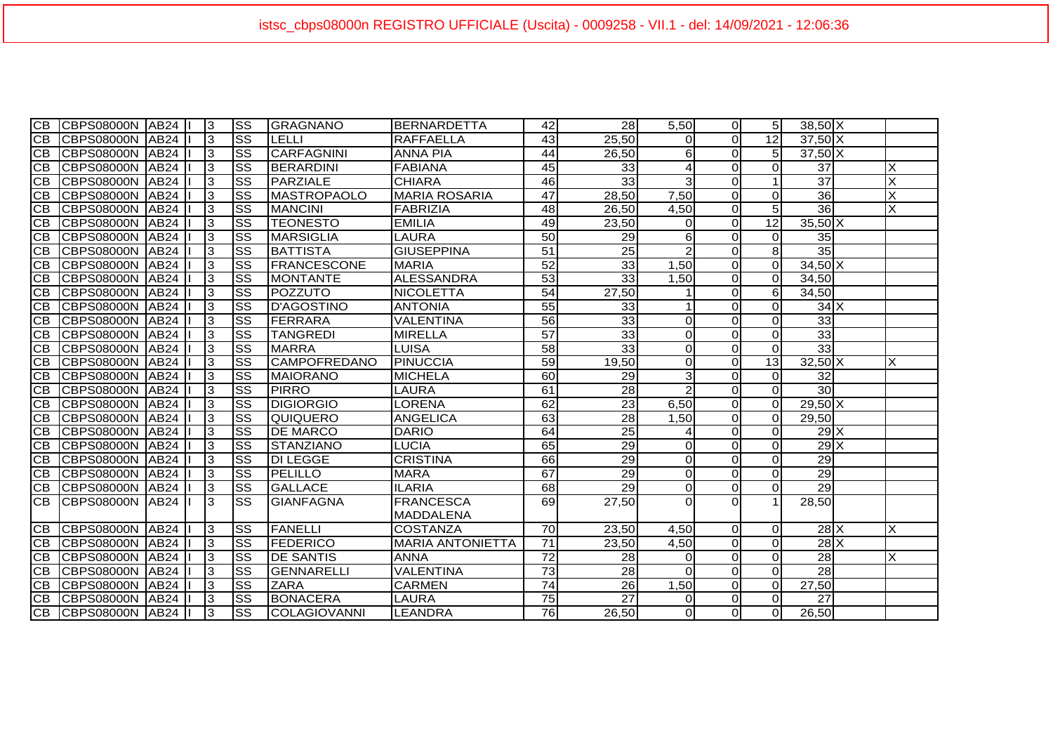| $\overline{CB}$ | CBPS08000N AB24 II   |  | 13.            | $\overline{\text{ss}}$ | GRAGNANO            | <b>I</b> BERNARDETTA    | 42              | 28              | 5,50           | $\Omega$       | 5 <sup>1</sup>  | $38,50$ X       |   |
|-----------------|----------------------|--|----------------|------------------------|---------------------|-------------------------|-----------------|-----------------|----------------|----------------|-----------------|-----------------|---|
| CB              | ICBPS08000N IAB24 I  |  | 3              | $\overline{\text{ss}}$ | LELLI               | <b>RAFFAELLA</b>        | 43              | 25,50           | ΩI             | Οl             | 12              | $37,50$ X       |   |
|                 | CB CBPS08000N AB24   |  | 3              | SS                     | CARFAGNINI          | <b>ANNA PIA</b>         | 44              | 26,50           | $6 \mid$       | 0              | 5 <sub>l</sub>  | $37,50$ X       |   |
| <b>CB</b>       | CBPS08000N AB24      |  | Iз             | $\overline{\text{ss}}$ | <b>BERARDINI</b>    | <b>FABIANA</b>          | 45              | 33              | $\overline{4}$ | $\Omega$       | $\Omega$        | $\overline{37}$ | X |
| CB              | CBPS08000N AB24      |  | $\overline{3}$ | $\overline{\text{ss}}$ | PARZIALE            | <b>CHIARA</b>           | 46              | 33              | 3 <sup>l</sup> | Οl             | $\overline{1}$  | $\overline{37}$ | X |
| <b>CB</b>       | CBPS08000N AB24      |  | Ιз             | $\overline{\text{ss}}$ | <b>MASTROPAOLO</b>  | <b>MARIA ROSARIA</b>    | 47              | 28,50           | 7,50           | οl             | $\Omega$        | 36              | X |
| <b>CB</b>       | CBPS08000N AB24      |  | $\vert$ 3      | $\overline{\text{ss}}$ | <b>MANCINI</b>      | FABRIZIA                | 48              | 26,50           | 4,50           | οl             | 5 <sup>1</sup>  | 36              |   |
| <b>CB</b>       | CBPS08000N AB24      |  | $\overline{3}$ | $\overline{\text{ss}}$ | <b>TEONESTO</b>     | <b>EMILIA</b>           | 49              | 23,50           | ΟI             | $\overline{O}$ | $\overline{12}$ | $35,50$ X       |   |
| <b>CB</b>       | CBPS08000N AB24      |  | $\overline{3}$ | $\overline{\text{ss}}$ | <b>MARSIGLIA</b>    | <b>LAURA</b>            | 50              | 29              | $6 \mid$       | $\Omega$       | ΩI              | 35              |   |
| <b>CB</b>       | CBPS08000N AB24      |  | $\overline{3}$ | $\overline{\text{ss}}$ | IBATTISTA           | <b>GIUSEPPINA</b>       | $\overline{51}$ | $\overline{25}$ | $\overline{2}$ | Οl             | 8 <sup>1</sup>  | 35              |   |
| <b>CB</b>       | CBPS08000N AB24      |  | 3              | $\overline{\text{ss}}$ | <b>FRANCESCONE</b>  | <b>MARIA</b>            | 52              | 33              | 1,50           | Οl             | ΩI              | $34,50$ X       |   |
| <b>CB</b>       | CBPS08000N AB24      |  | $\overline{3}$ | $\overline{\text{ss}}$ | <b>MONTANTE</b>     | <b>ALESSANDRA</b>       | 53              | 33              | 1,50           | Οl             | $\Omega$        | 34,50           |   |
| <b>CB</b>       | CBPS08000N AB24      |  | Ιз             | $\overline{\text{ss}}$ | POZZUTO             | <b>NICOLETTA</b>        | $\overline{54}$ | 27,50           |                | Οl             | 6 <sup>1</sup>  | 34,50           |   |
| CB              | CBPS08000N AB24      |  | 3              | $\overline{\text{ss}}$ | D'AGOSTINO          | <b>ANTONIA</b>          | 55              | 33              |                | 0              | $\Omega$        | $34$ $X$        |   |
| CB              | CBPS08000N AB24      |  | 3              | $\overline{\text{ss}}$ | FERRARA             | <b>VALENTINA</b>        | 56              | 33              | $\Omega$       | 0              | $\Omega$        | 33              |   |
| CВ              | CBPS08000N AB24      |  | 3              | $\overline{\text{ss}}$ | <b>TANGREDI</b>     | <b>MIRELLA</b>          | 57              | 33              | $\overline{O}$ | $\Omega$       | $\Omega$        | 33              |   |
| CВ              | CBPS08000N AB24      |  | 3              | $\overline{\text{ss}}$ | <b>MARRA</b>        | LUISA                   | 58              | 33              | $\overline{0}$ | $\Omega$       | $\Omega$        | 33              |   |
| CВ              | CBPS08000N AB24      |  | 3              | $\overline{\text{ss}}$ | <b>CAMPOFREDANO</b> | PINUCCIA                | 59              | 19,50           | $\overline{0}$ | $\Omega$       | 13              | $32,50$ X       | X |
| <b>CB</b>       | CBPS08000N AB24      |  | 3              | SS                     | <b>MAIORANO</b>     | <b>MICHELA</b>          | 60              | 29              | 3              | οl             | $\Omega$        | 32              |   |
| <b>CB</b>       | CBPS08000N AB24      |  | Iз             | $\overline{\text{ss}}$ | <b>PIRRO</b>        | <b>LAURA</b>            | 61              | 28              | $\overline{2}$ | οl             | $\Omega$        | 30              |   |
| IСB             | CBPS08000N AB24      |  | $\overline{3}$ | <b>SS</b>              | <b>DIGIORGIO</b>    | <b>LORENA</b>           | 62              | $\overline{23}$ | 6,50           | Οl             | $\Omega$        | $29,50$ X       |   |
| ICB             | CBPS08000N AB24      |  | 13             | SS                     | IQUIQUERO           | <b>ANGELICA</b>         | 63              | 28              | 1,50           | Οl             | $\Omega$        | 29,50           |   |
| ICB.            | CBPS08000N AB24      |  | $\overline{3}$ | $\overline{\text{ss}}$ | <b>DE MARCO</b>     | <b>DARIO</b>            | 64              | 25              | 4              | Οl             | ΩI              | $29$ X          |   |
| ICB.            | CBPS08000N AB24      |  | $\overline{3}$ | $\overline{\text{ss}}$ | <b>STANZIANO</b>    | <b>LUCIA</b>            | 65              | 29              | $\overline{0}$ | $\Omega$       | $\Omega$        | 29X             |   |
| CB              | ICBPS08000N AB24 II  |  | $\vert$ 3      | $\overline{\text{ss}}$ | <b>DI LEGGE</b>     | <b>CRISTINA</b>         | 66              | $\overline{29}$ | $\Omega$       | $\Omega$       | $\Omega$        | 29              |   |
| ICB.            | CBPS08000N AB24      |  | $\overline{3}$ | $\overline{\text{ss}}$ | PELILLO             | <b>MARA</b>             | 67              | 29              | $\overline{0}$ | $\Omega$       | $\Omega$        | 29              |   |
| CB              | CBPS08000N AB24      |  | $\overline{3}$ | $\overline{\text{ss}}$ | <b>GALLACE</b>      | <b>ILARIA</b>           | $\overline{68}$ | 29              | $\overline{0}$ | $\Omega$       | $\Omega$        | 29              |   |
| ICB             | ICBPS08000N IAB24 II |  | Iз             | SS                     | <b>GIANFAGNA</b>    | <b>FRANCESCA</b>        | 69              | 27,50           | $\Omega$       | $\Omega$       |                 | 28,50           |   |
|                 |                      |  |                |                        |                     | <b>MADDALENA</b>        |                 |                 |                |                |                 |                 |   |
| CB.             | CBPS08000N AB24      |  | 13             | $\overline{\text{ss}}$ | <b>FANELLI</b>      | <b>COSTANZA</b>         | 70              | 23,50           | 4,50           | $\Omega$       | -ol             | $28$ $X$        | X |
| <b>CB</b>       | ICBPS08000N IAB24    |  | 3              | $\overline{\text{ss}}$ | <b>FEDERICO</b>     | <b>MARIA ANTONIETTA</b> | 71              | 23,50           | 4,50           | $\Omega$       | $\Omega$        | 28X             |   |
| CВ              | ICBPS08000N IAB24    |  | 3              | $\overline{\text{ss}}$ | <b>DE SANTIS</b>    | <b>ANNA</b>             | $\overline{72}$ | 28              | $\overline{0}$ | $\Omega$       | $\Omega$        | 28              | X |
| CВ              | CBPS08000N AB24      |  | 3              | SS                     | <b>GENNARELLI</b>   | <b>VALENTINA</b>        | 73              | $\overline{28}$ | $\Omega$       | $\Omega$       | $\Omega$        | 28              |   |
| ICB             | CBPS08000N   AB24    |  | 3              | SS                     | <b>ZARA</b>         | <b>CARMEN</b>           | $\overline{74}$ | 26              | 1,50           | οl             | $\Omega$        | 27,50           |   |
|                 | CB CBPS08000N AB24   |  | 3              | $\overline{\text{ss}}$ | <b>BONACERA</b>     | <b>LAURA</b>            | 75              | $\overline{27}$ | $\overline{0}$ | 0              | $\Omega$        | 27              |   |
|                 | CB CBPS08000N AB24   |  | $\overline{3}$ | $\overline{\text{ss}}$ | COLAGIOVANNI        | LEANDRA                 | 76              | 26,50           | $\overline{0}$ | O              | $\Omega$        | 26,50           |   |